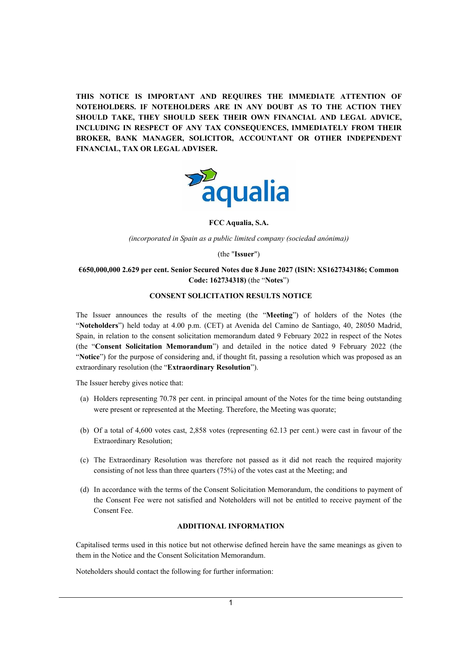**THIS NOTICE IS IMPORTANT AND REQUIRES THE IMMEDIATE ATTENTION OF NOTEHOLDERS. IF NOTEHOLDERS ARE IN ANY DOUBT AS TO THE ACTION THEY SHOULD TAKE, THEY SHOULD SEEK THEIR OWN FINANCIAL AND LEGAL ADVICE, INCLUDING IN RESPECT OF ANY TAX CONSEQUENCES, IMMEDIATELY FROM THEIR BROKER, BANK MANAGER, SOLICITOR, ACCOUNTANT OR OTHER INDEPENDENT FINANCIAL, TAX OR LEGAL ADVISER.**



**FCC Aqualia, S.A.** 

*(incorporated in Spain as a public limited company (sociedad anónima))*

(the "**Issuer**")

## **€650,000,000 2.629 per cent. Senior Secured Notes due 8 June 2027 (ISIN: XS1627343186; Common Code: 162734318)** (the "**Notes**")

#### **CONSENT SOLICITATION RESULTS NOTICE**

The Issuer announces the results of the meeting (the "**Meeting**") of holders of the Notes (the "**Noteholders**") held today at 4.00 p.m. (CET) at Avenida del Camino de Santiago, 40, 28050 Madrid, Spain, in relation to the consent solicitation memorandum dated 9 February 2022 in respect of the Notes (the "**Consent Solicitation Memorandum**") and detailed in the notice dated 9 February 2022 (the "**Notice**") for the purpose of considering and, if thought fit, passing a resolution which was proposed as an extraordinary resolution (the "**Extraordinary Resolution**").

The Issuer hereby gives notice that:

- (a) Holders representing 70.78 per cent. in principal amount of the Notes for the time being outstanding were present or represented at the Meeting. Therefore, the Meeting was quorate;
- (b) Of a total of 4,600 votes cast, 2,858 votes (representing 62.13 per cent.) were cast in favour of the Extraordinary Resolution;
- (c) The Extraordinary Resolution was therefore not passed as it did not reach the required majority consisting of not less than three quarters (75%) of the votes cast at the Meeting; and
- (d) In accordance with the terms of the Consent Solicitation Memorandum, the conditions to payment of the Consent Fee were not satisfied and Noteholders will not be entitled to receive payment of the Consent Fee.

## **ADDITIONAL INFORMATION**

Capitalised terms used in this notice but not otherwise defined herein have the same meanings as given to them in the Notice and the Consent Solicitation Memorandum.

Noteholders should contact the following for further information: